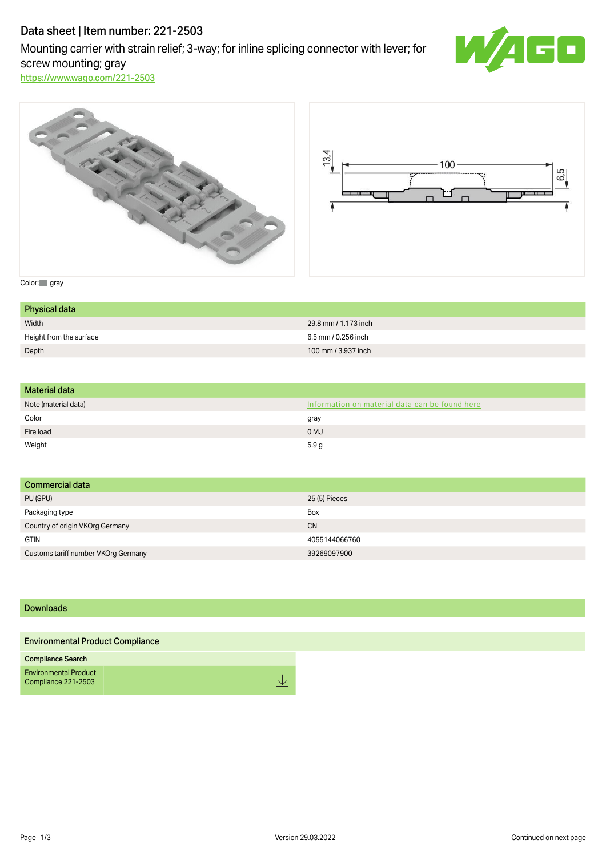## Data sheet | Item number: 221-2503

Mounting carrier with strain relief; 3-way; for inline splicing connector with lever; for screw mounting; gray



https://www.wago.com/221-2503



Color: gray

| Physical data           |                      |
|-------------------------|----------------------|
| Width                   | 29.8 mm / 1.173 inch |
| Height from the surface | 6.5 mm / 0.256 inch  |
| Depth                   | 100 mm / 3.937 inch  |

| Material data        |                                                |
|----------------------|------------------------------------------------|
| Note (material data) | Information on material data can be found here |
| Color                | gray                                           |
| Fire load            | 0 <sub>MJ</sub>                                |
| Weight               | 5.9g                                           |

| Commercial data                     |               |
|-------------------------------------|---------------|
| PU (SPU)                            | 25 (5) Pieces |
| Packaging type                      | <b>Box</b>    |
| Country of origin VKOrg Germany     | <b>CN</b>     |
| <b>GTIN</b>                         | 4055144066760 |
| Customs tariff number VKOrg Germany | 39269097900   |

### Downloads

| <b>Environmental Product Compliance</b>             |        |
|-----------------------------------------------------|--------|
| <b>Compliance Search</b>                            |        |
| <b>Environmental Product</b><br>Compliance 221-2503 | $\vee$ |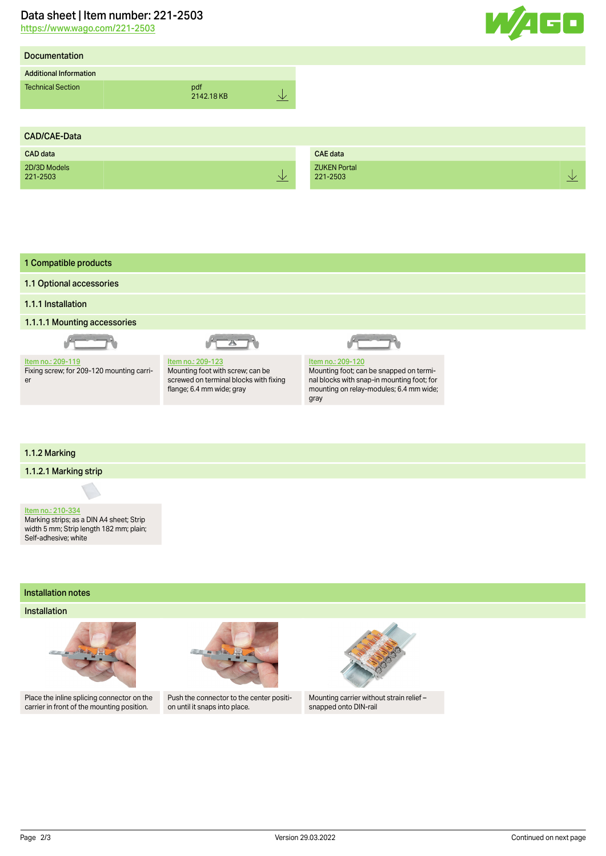## Data sheet | Item number: 221-2503

https://www.wago.com/221-2503

Additional Information

**Documentation** 







#### 1.1.2 Marking

#### 1.1.2.1 Marking strip

[Item no.: 210-334](https://www.wago.com/210-334) Marking strips; as a DIN A4 sheet; Strip width 5 mm; Strip length 182 mm; plain; Self-adhesive; white

#### Installation notes

#### Installation



Place the inline splicing connector on the carrier in front of the mounting position.



Push the connector to the center position until it snaps into place.



Mounting carrier without strain relief – snapped onto DIN-rail